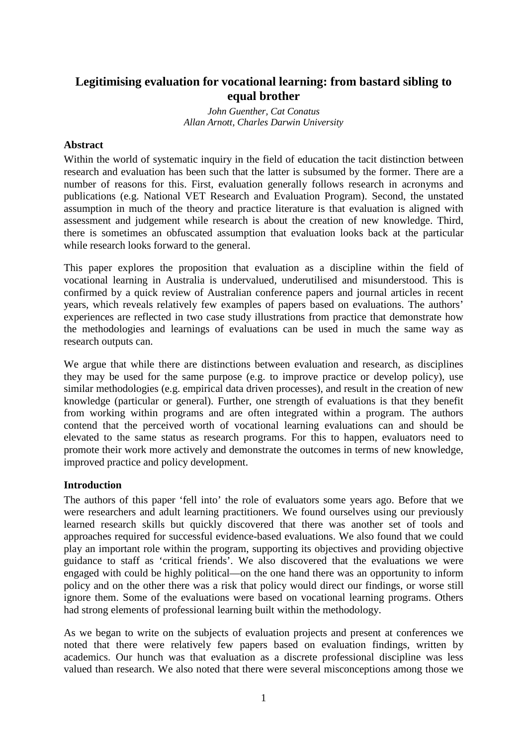# **Legitimising evaluation for vocational learning: from bastard sibling to equal brother**

*John Guenther, Cat Conatus Allan Arnott, Charles Darwin University* 

# **Abstract**

Within the world of systematic inquiry in the field of education the tacit distinction between research and evaluation has been such that the latter is subsumed by the former. There are a number of reasons for this. First, evaluation generally follows research in acronyms and publications (e.g. National VET Research and Evaluation Program). Second, the unstated assumption in much of the theory and practice literature is that evaluation is aligned with assessment and judgement while research is about the creation of new knowledge. Third, there is sometimes an obfuscated assumption that evaluation looks back at the particular while research looks forward to the general.

This paper explores the proposition that evaluation as a discipline within the field of vocational learning in Australia is undervalued, underutilised and misunderstood. This is confirmed by a quick review of Australian conference papers and journal articles in recent years, which reveals relatively few examples of papers based on evaluations. The authors' experiences are reflected in two case study illustrations from practice that demonstrate how the methodologies and learnings of evaluations can be used in much the same way as research outputs can.

We argue that while there are distinctions between evaluation and research, as disciplines they may be used for the same purpose (e.g. to improve practice or develop policy), use similar methodologies (e.g. empirical data driven processes), and result in the creation of new knowledge (particular or general). Further, one strength of evaluations is that they benefit from working within programs and are often integrated within a program. The authors contend that the perceived worth of vocational learning evaluations can and should be elevated to the same status as research programs. For this to happen, evaluators need to promote their work more actively and demonstrate the outcomes in terms of new knowledge, improved practice and policy development.

### **Introduction**

The authors of this paper 'fell into' the role of evaluators some years ago. Before that we were researchers and adult learning practitioners. We found ourselves using our previously learned research skills but quickly discovered that there was another set of tools and approaches required for successful evidence-based evaluations. We also found that we could play an important role within the program, supporting its objectives and providing objective guidance to staff as 'critical friends'. We also discovered that the evaluations we were engaged with could be highly political—on the one hand there was an opportunity to inform policy and on the other there was a risk that policy would direct our findings, or worse still ignore them. Some of the evaluations were based on vocational learning programs. Others had strong elements of professional learning built within the methodology.

As we began to write on the subjects of evaluation projects and present at conferences we noted that there were relatively few papers based on evaluation findings, written by academics. Our hunch was that evaluation as a discrete professional discipline was less valued than research. We also noted that there were several misconceptions among those we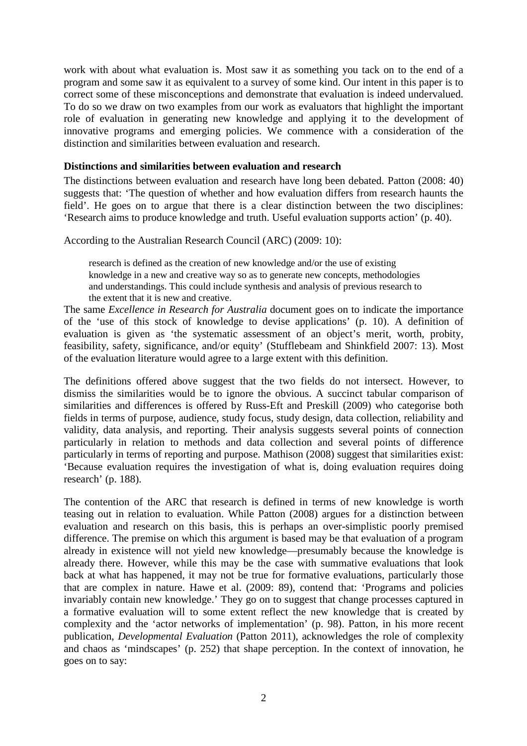work with about what evaluation is. Most saw it as something you tack on to the end of a program and some saw it as equivalent to a survey of some kind. Our intent in this paper is to correct some of these misconceptions and demonstrate that evaluation is indeed undervalued. To do so we draw on two examples from our work as evaluators that highlight the important role of evaluation in generating new knowledge and applying it to the development of innovative programs and emerging policies. We commence with a consideration of the distinction and similarities between evaluation and research.

### **Distinctions and similarities between evaluation and research**

The distinctions between evaluation and research have long been debated. Patton (2008: 40) suggests that: 'The question of whether and how evaluation differs from research haunts the field'. He goes on to argue that there is a clear distinction between the two disciplines: 'Research aims to produce knowledge and truth. Useful evaluation supports action' (p. 40).

According to the Australian Research Council (ARC) (2009: 10):

research is defined as the creation of new knowledge and/or the use of existing knowledge in a new and creative way so as to generate new concepts, methodologies and understandings. This could include synthesis and analysis of previous research to the extent that it is new and creative.

The same *Excellence in Research for Australia* document goes on to indicate the importance of the 'use of this stock of knowledge to devise applications' (p. 10). A definition of evaluation is given as 'the systematic assessment of an object's merit, worth, probity, feasibility, safety, significance, and/or equity' (Stufflebeam and Shinkfield 2007: 13). Most of the evaluation literature would agree to a large extent with this definition.

The definitions offered above suggest that the two fields do not intersect. However, to dismiss the similarities would be to ignore the obvious. A succinct tabular comparison of similarities and differences is offered by Russ-Eft and Preskill (2009) who categorise both fields in terms of purpose, audience, study focus, study design, data collection, reliability and validity, data analysis, and reporting. Their analysis suggests several points of connection particularly in relation to methods and data collection and several points of difference particularly in terms of reporting and purpose. Mathison (2008) suggest that similarities exist: 'Because evaluation requires the investigation of what is, doing evaluation requires doing research' (p. 188).

The contention of the ARC that research is defined in terms of new knowledge is worth teasing out in relation to evaluation. While Patton (2008) argues for a distinction between evaluation and research on this basis, this is perhaps an over-simplistic poorly premised difference. The premise on which this argument is based may be that evaluation of a program already in existence will not yield new knowledge—presumably because the knowledge is already there. However, while this may be the case with summative evaluations that look back at what has happened, it may not be true for formative evaluations, particularly those that are complex in nature. Hawe et al. (2009: 89), contend that: 'Programs and policies invariably contain new knowledge.' They go on to suggest that change processes captured in a formative evaluation will to some extent reflect the new knowledge that is created by complexity and the 'actor networks of implementation' (p. 98). Patton, in his more recent publication, *Developmental Evaluation* (Patton 2011), acknowledges the role of complexity and chaos as 'mindscapes' (p. 252) that shape perception. In the context of innovation, he goes on to say: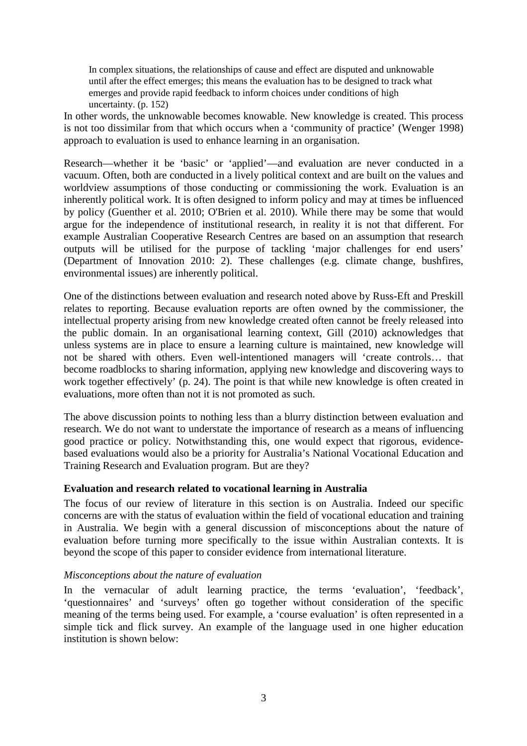In complex situations, the relationships of cause and effect are disputed and unknowable until after the effect emerges; this means the evaluation has to be designed to track what emerges and provide rapid feedback to inform choices under conditions of high uncertainty. (p. 152)

In other words, the unknowable becomes knowable. New knowledge is created. This process is not too dissimilar from that which occurs when a 'community of practice' (Wenger 1998) approach to evaluation is used to enhance learning in an organisation.

Research—whether it be 'basic' or 'applied'—and evaluation are never conducted in a vacuum. Often, both are conducted in a lively political context and are built on the values and worldview assumptions of those conducting or commissioning the work. Evaluation is an inherently political work. It is often designed to inform policy and may at times be influenced by policy (Guenther et al. 2010; O'Brien et al. 2010). While there may be some that would argue for the independence of institutional research, in reality it is not that different. For example Australian Cooperative Research Centres are based on an assumption that research outputs will be utilised for the purpose of tackling 'major challenges for end users' (Department of Innovation 2010: 2). These challenges (e.g. climate change, bushfires, environmental issues) are inherently political.

One of the distinctions between evaluation and research noted above by Russ-Eft and Preskill relates to reporting. Because evaluation reports are often owned by the commissioner, the intellectual property arising from new knowledge created often cannot be freely released into the public domain. In an organisational learning context, Gill (2010) acknowledges that unless systems are in place to ensure a learning culture is maintained, new knowledge will not be shared with others. Even well-intentioned managers will 'create controls… that become roadblocks to sharing information, applying new knowledge and discovering ways to work together effectively' (p. 24). The point is that while new knowledge is often created in evaluations, more often than not it is not promoted as such.

The above discussion points to nothing less than a blurry distinction between evaluation and research. We do not want to understate the importance of research as a means of influencing good practice or policy. Notwithstanding this, one would expect that rigorous, evidencebased evaluations would also be a priority for Australia's National Vocational Education and Training Research and Evaluation program. But are they?

### **Evaluation and research related to vocational learning in Australia**

The focus of our review of literature in this section is on Australia. Indeed our specific concerns are with the status of evaluation within the field of vocational education and training in Australia. We begin with a general discussion of misconceptions about the nature of evaluation before turning more specifically to the issue within Australian contexts. It is beyond the scope of this paper to consider evidence from international literature.

### *Misconceptions about the nature of evaluation*

In the vernacular of adult learning practice, the terms 'evaluation', 'feedback', 'questionnaires' and 'surveys' often go together without consideration of the specific meaning of the terms being used. For example, a 'course evaluation' is often represented in a simple tick and flick survey. An example of the language used in one higher education institution is shown below: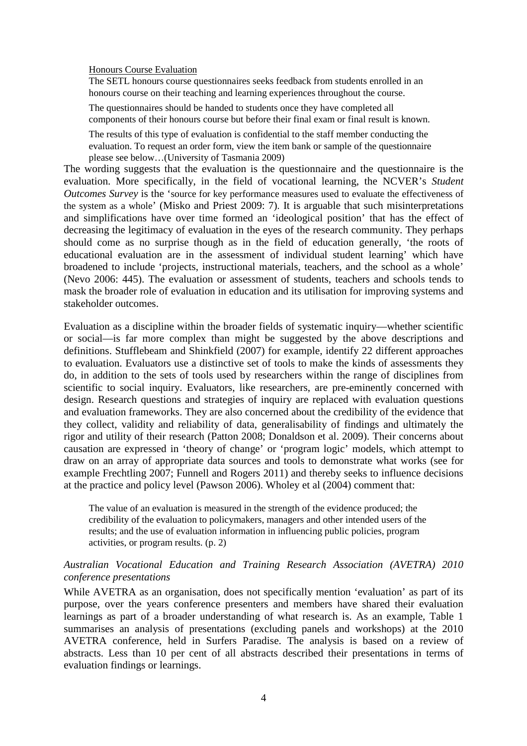#### Honours Course Evaluation

The SETL honours course questionnaires seeks feedback from students enrolled in an honours course on their teaching and learning experiences throughout the course.

The questionnaires should be handed to students once they have completed all components of their honours course but before their final exam or final result is known.

The results of this type of evaluation is confidential to the staff member conducting the evaluation. To request an order form, view the item bank or sample of the questionnaire please see below…(University of Tasmania 2009)

The wording suggests that the evaluation is the questionnaire and the questionnaire is the evaluation. More specifically, in the field of vocational learning, the NCVER's *Student Outcomes Survey* is the 'source for key performance measures used to evaluate the effectiveness of the system as a whole' (Misko and Priest 2009: 7). It is arguable that such misinterpretations and simplifications have over time formed an 'ideological position' that has the effect of decreasing the legitimacy of evaluation in the eyes of the research community. They perhaps should come as no surprise though as in the field of education generally, 'the roots of educational evaluation are in the assessment of individual student learning' which have broadened to include 'projects, instructional materials, teachers, and the school as a whole' (Nevo 2006: 445). The evaluation or assessment of students, teachers and schools tends to mask the broader role of evaluation in education and its utilisation for improving systems and stakeholder outcomes.

Evaluation as a discipline within the broader fields of systematic inquiry—whether scientific or social—is far more complex than might be suggested by the above descriptions and definitions. Stufflebeam and Shinkfield (2007) for example, identify 22 different approaches to evaluation. Evaluators use a distinctive set of tools to make the kinds of assessments they do, in addition to the sets of tools used by researchers within the range of disciplines from scientific to social inquiry. Evaluators, like researchers, are pre-eminently concerned with design. Research questions and strategies of inquiry are replaced with evaluation questions and evaluation frameworks. They are also concerned about the credibility of the evidence that they collect, validity and reliability of data, generalisability of findings and ultimately the rigor and utility of their research (Patton 2008; Donaldson et al. 2009). Their concerns about causation are expressed in 'theory of change' or 'program logic' models, which attempt to draw on an array of appropriate data sources and tools to demonstrate what works (see for example Frechtling 2007; Funnell and Rogers 2011) and thereby seeks to influence decisions at the practice and policy level (Pawson 2006). Wholey et al (2004) comment that:

The value of an evaluation is measured in the strength of the evidence produced; the credibility of the evaluation to policymakers, managers and other intended users of the results; and the use of evaluation information in influencing public policies, program activities, or program results. (p. 2)

### *Australian Vocational Education and Training Research Association (AVETRA) 2010 conference presentations*

While AVETRA as an organisation, does not specifically mention 'evaluation' as part of its purpose, over the years conference presenters and members have shared their evaluation learnings as part of a broader understanding of what research is. As an example, Table 1 summarises an analysis of presentations (excluding panels and workshops) at the 2010 AVETRA conference, held in Surfers Paradise. The analysis is based on a review of abstracts. Less than 10 per cent of all abstracts described their presentations in terms of evaluation findings or learnings.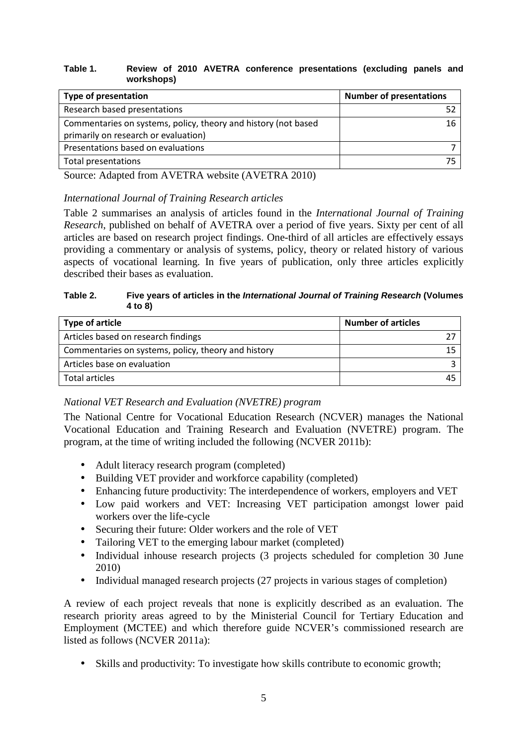#### **Table 1. Review of 2010 AVETRA conference presentations (excluding panels and workshops)**

| <b>Type of presentation</b>                                    | <b>Number of presentations</b> |
|----------------------------------------------------------------|--------------------------------|
| Research based presentations                                   |                                |
| Commentaries on systems, policy, theory and history (not based | 16                             |
| primarily on research or evaluation)                           |                                |
| Presentations based on evaluations                             |                                |
| Total presentations                                            |                                |
|                                                                |                                |

Source: Adapted from AVETRA website (AVETRA 2010)

# *International Journal of Training Research articles*

Table 2 summarises an analysis of articles found in the *International Journal of Training Research*, published on behalf of AVETRA over a period of five years. Sixty per cent of all articles are based on research project findings. One-third of all articles are effectively essays providing a commentary or analysis of systems, policy, theory or related history of various aspects of vocational learning. In five years of publication, only three articles explicitly described their bases as evaluation.

#### **Table 2. Five years of articles in the International Journal of Training Research (Volumes 4 to 8)**

| Type of article                                     | <b>Number of articles</b> |
|-----------------------------------------------------|---------------------------|
| Articles based on research findings                 |                           |
| Commentaries on systems, policy, theory and history |                           |
| Articles base on evaluation                         |                           |
| Total articles                                      |                           |

# *National VET Research and Evaluation (NVETRE) program*

The National Centre for Vocational Education Research (NCVER) manages the National Vocational Education and Training Research and Evaluation (NVETRE) program. The program, at the time of writing included the following (NCVER 2011b):

- Adult literacy research program (completed)
- Building VET provider and workforce capability (completed)
- Enhancing future productivity: The interdependence of workers, employers and VET
- Low paid workers and VET: Increasing VET participation amongst lower paid workers over the life-cycle
- Securing their future: Older workers and the role of VET
- Tailoring VET to the emerging labour market (completed)
- Individual inhouse research projects (3 projects scheduled for completion 30 June 2010)
- Individual managed research projects (27 projects in various stages of completion)

A review of each project reveals that none is explicitly described as an evaluation. The research priority areas agreed to by the Ministerial Council for Tertiary Education and Employment (MCTEE) and which therefore guide NCVER's commissioned research are listed as follows (NCVER 2011a):

• Skills and productivity: To investigate how skills contribute to economic growth;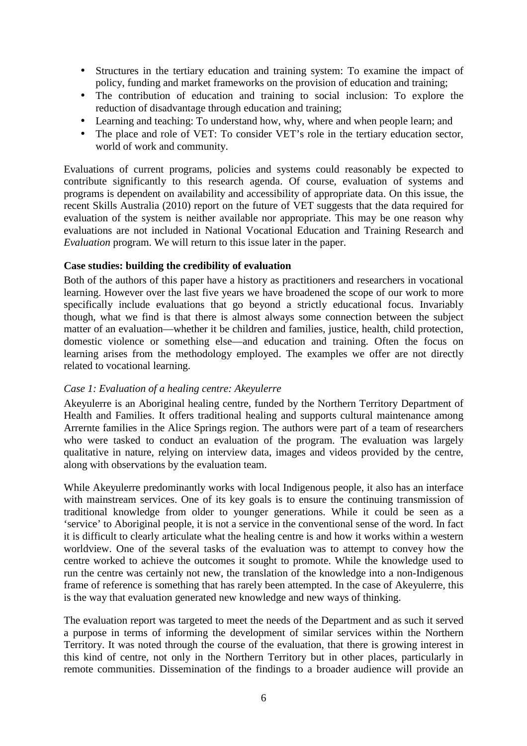- Structures in the tertiary education and training system: To examine the impact of policy, funding and market frameworks on the provision of education and training;
- The contribution of education and training to social inclusion: To explore the reduction of disadvantage through education and training;
- Learning and teaching: To understand how, why, where and when people learn; and
- The place and role of VET: To consider VET's role in the tertiary education sector, world of work and community.

Evaluations of current programs, policies and systems could reasonably be expected to contribute significantly to this research agenda. Of course, evaluation of systems and programs is dependent on availability and accessibility of appropriate data. On this issue, the recent Skills Australia (2010) report on the future of VET suggests that the data required for evaluation of the system is neither available nor appropriate. This may be one reason why evaluations are not included in National Vocational Education and Training Research and *Evaluation* program. We will return to this issue later in the paper.

### **Case studies: building the credibility of evaluation**

Both of the authors of this paper have a history as practitioners and researchers in vocational learning. However over the last five years we have broadened the scope of our work to more specifically include evaluations that go beyond a strictly educational focus. Invariably though, what we find is that there is almost always some connection between the subject matter of an evaluation—whether it be children and families, justice, health, child protection, domestic violence or something else—and education and training. Often the focus on learning arises from the methodology employed. The examples we offer are not directly related to vocational learning.

### *Case 1: Evaluation of a healing centre: Akeyulerre*

Akeyulerre is an Aboriginal healing centre, funded by the Northern Territory Department of Health and Families. It offers traditional healing and supports cultural maintenance among Arrernte families in the Alice Springs region. The authors were part of a team of researchers who were tasked to conduct an evaluation of the program. The evaluation was largely qualitative in nature, relying on interview data, images and videos provided by the centre, along with observations by the evaluation team.

While Akeyulerre predominantly works with local Indigenous people, it also has an interface with mainstream services. One of its key goals is to ensure the continuing transmission of traditional knowledge from older to younger generations. While it could be seen as a 'service' to Aboriginal people, it is not a service in the conventional sense of the word. In fact it is difficult to clearly articulate what the healing centre is and how it works within a western worldview. One of the several tasks of the evaluation was to attempt to convey how the centre worked to achieve the outcomes it sought to promote. While the knowledge used to run the centre was certainly not new, the translation of the knowledge into a non-Indigenous frame of reference is something that has rarely been attempted. In the case of Akeyulerre, this is the way that evaluation generated new knowledge and new ways of thinking.

The evaluation report was targeted to meet the needs of the Department and as such it served a purpose in terms of informing the development of similar services within the Northern Territory. It was noted through the course of the evaluation, that there is growing interest in this kind of centre, not only in the Northern Territory but in other places, particularly in remote communities. Dissemination of the findings to a broader audience will provide an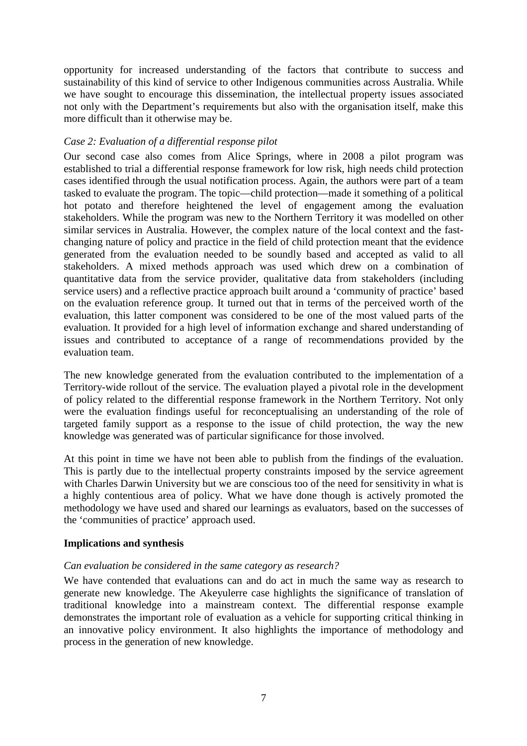opportunity for increased understanding of the factors that contribute to success and sustainability of this kind of service to other Indigenous communities across Australia. While we have sought to encourage this dissemination, the intellectual property issues associated not only with the Department's requirements but also with the organisation itself, make this more difficult than it otherwise may be.

# *Case 2: Evaluation of a differential response pilot*

Our second case also comes from Alice Springs, where in 2008 a pilot program was established to trial a differential response framework for low risk, high needs child protection cases identified through the usual notification process. Again, the authors were part of a team tasked to evaluate the program. The topic—child protection—made it something of a political hot potato and therefore heightened the level of engagement among the evaluation stakeholders. While the program was new to the Northern Territory it was modelled on other similar services in Australia. However, the complex nature of the local context and the fastchanging nature of policy and practice in the field of child protection meant that the evidence generated from the evaluation needed to be soundly based and accepted as valid to all stakeholders. A mixed methods approach was used which drew on a combination of quantitative data from the service provider, qualitative data from stakeholders (including service users) and a reflective practice approach built around a 'community of practice' based on the evaluation reference group. It turned out that in terms of the perceived worth of the evaluation, this latter component was considered to be one of the most valued parts of the evaluation. It provided for a high level of information exchange and shared understanding of issues and contributed to acceptance of a range of recommendations provided by the evaluation team.

The new knowledge generated from the evaluation contributed to the implementation of a Territory-wide rollout of the service. The evaluation played a pivotal role in the development of policy related to the differential response framework in the Northern Territory. Not only were the evaluation findings useful for reconceptualising an understanding of the role of targeted family support as a response to the issue of child protection, the way the new knowledge was generated was of particular significance for those involved.

At this point in time we have not been able to publish from the findings of the evaluation. This is partly due to the intellectual property constraints imposed by the service agreement with Charles Darwin University but we are conscious too of the need for sensitivity in what is a highly contentious area of policy. What we have done though is actively promoted the methodology we have used and shared our learnings as evaluators, based on the successes of the 'communities of practice' approach used.

### **Implications and synthesis**

### *Can evaluation be considered in the same category as research?*

We have contended that evaluations can and do act in much the same way as research to generate new knowledge. The Akeyulerre case highlights the significance of translation of traditional knowledge into a mainstream context. The differential response example demonstrates the important role of evaluation as a vehicle for supporting critical thinking in an innovative policy environment. It also highlights the importance of methodology and process in the generation of new knowledge.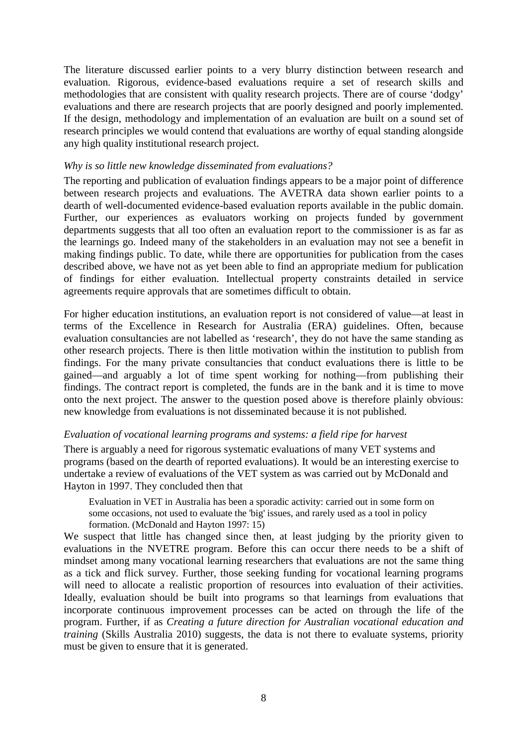The literature discussed earlier points to a very blurry distinction between research and evaluation. Rigorous, evidence-based evaluations require a set of research skills and methodologies that are consistent with quality research projects. There are of course 'dodgy' evaluations and there are research projects that are poorly designed and poorly implemented. If the design, methodology and implementation of an evaluation are built on a sound set of research principles we would contend that evaluations are worthy of equal standing alongside any high quality institutional research project.

### *Why is so little new knowledge disseminated from evaluations?*

The reporting and publication of evaluation findings appears to be a major point of difference between research projects and evaluations. The AVETRA data shown earlier points to a dearth of well-documented evidence-based evaluation reports available in the public domain. Further, our experiences as evaluators working on projects funded by government departments suggests that all too often an evaluation report to the commissioner is as far as the learnings go. Indeed many of the stakeholders in an evaluation may not see a benefit in making findings public. To date, while there are opportunities for publication from the cases described above, we have not as yet been able to find an appropriate medium for publication of findings for either evaluation. Intellectual property constraints detailed in service agreements require approvals that are sometimes difficult to obtain.

For higher education institutions, an evaluation report is not considered of value—at least in terms of the Excellence in Research for Australia (ERA) guidelines. Often, because evaluation consultancies are not labelled as 'research', they do not have the same standing as other research projects. There is then little motivation within the institution to publish from findings. For the many private consultancies that conduct evaluations there is little to be gained—and arguably a lot of time spent working for nothing—from publishing their findings. The contract report is completed, the funds are in the bank and it is time to move onto the next project. The answer to the question posed above is therefore plainly obvious: new knowledge from evaluations is not disseminated because it is not published.

### *Evaluation of vocational learning programs and systems: a field ripe for harvest*

There is arguably a need for rigorous systematic evaluations of many VET systems and programs (based on the dearth of reported evaluations). It would be an interesting exercise to undertake a review of evaluations of the VET system as was carried out by McDonald and Hayton in 1997. They concluded then that

Evaluation in VET in Australia has been a sporadic activity: carried out in some form on some occasions, not used to evaluate the 'big' issues, and rarely used as a tool in policy formation. (McDonald and Hayton 1997: 15)

We suspect that little has changed since then, at least judging by the priority given to evaluations in the NVETRE program. Before this can occur there needs to be a shift of mindset among many vocational learning researchers that evaluations are not the same thing as a tick and flick survey. Further, those seeking funding for vocational learning programs will need to allocate a realistic proportion of resources into evaluation of their activities. Ideally, evaluation should be built into programs so that learnings from evaluations that incorporate continuous improvement processes can be acted on through the life of the program. Further, if as *Creating a future direction for Australian vocational education and training* (Skills Australia 2010) suggests, the data is not there to evaluate systems, priority must be given to ensure that it is generated.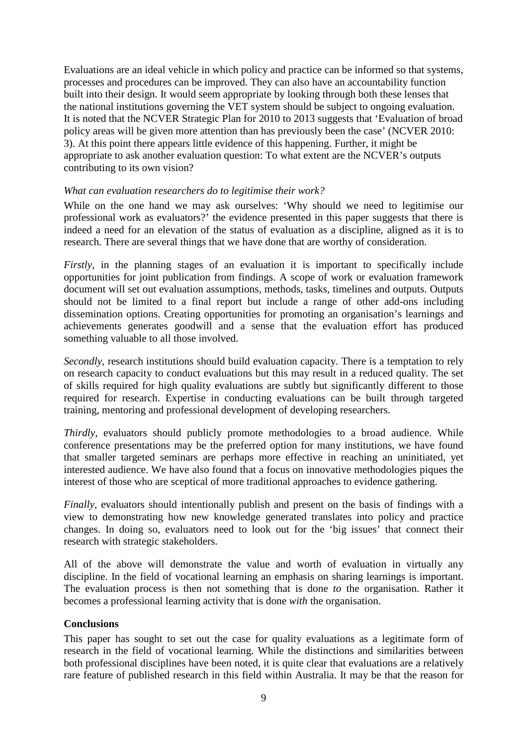Evaluations are an ideal vehicle in which policy and practice can be informed so that systems, processes and procedures can be improved. They can also have an accountability function built into their design. It would seem appropriate by looking through both these lenses that the national institutions governing the VET system should be subject to ongoing evaluation. It is noted that the NCVER Strategic Plan for 2010 to 2013 suggests that 'Evaluation of broad policy areas will be given more attention than has previously been the case' (NCVER 2010: 3). At this point there appears little evidence of this happening. Further, it might be appropriate to ask another evaluation question: To what extent are the NCVER's outputs contributing to its own vision?

### *What can evaluation researchers do to legitimise their work?*

While on the one hand we may ask ourselves: 'Why should we need to legitimise our professional work as evaluators?' the evidence presented in this paper suggests that there is indeed a need for an elevation of the status of evaluation as a discipline, aligned as it is to research. There are several things that we have done that are worthy of consideration.

*Firstly*, in the planning stages of an evaluation it is important to specifically include opportunities for joint publication from findings. A scope of work or evaluation framework document will set out evaluation assumptions, methods, tasks, timelines and outputs. Outputs should not be limited to a final report but include a range of other add-ons including dissemination options. Creating opportunities for promoting an organisation's learnings and achievements generates goodwill and a sense that the evaluation effort has produced something valuable to all those involved.

*Secondly*, research institutions should build evaluation capacity. There is a temptation to rely on research capacity to conduct evaluations but this may result in a reduced quality. The set of skills required for high quality evaluations are subtly but significantly different to those required for research. Expertise in conducting evaluations can be built through targeted training, mentoring and professional development of developing researchers.

*Thirdly*, evaluators should publicly promote methodologies to a broad audience. While conference presentations may be the preferred option for many institutions, we have found that smaller targeted seminars are perhaps more effective in reaching an uninitiated, yet interested audience. We have also found that a focus on innovative methodologies piques the interest of those who are sceptical of more traditional approaches to evidence gathering.

*Finally*, evaluators should intentionally publish and present on the basis of findings with a view to demonstrating how new knowledge generated translates into policy and practice changes. In doing so, evaluators need to look out for the 'big issues' that connect their research with strategic stakeholders.

All of the above will demonstrate the value and worth of evaluation in virtually any discipline. In the field of vocational learning an emphasis on sharing learnings is important. The evaluation process is then not something that is done *to* the organisation. Rather it becomes a professional learning activity that is done *with* the organisation.

### **Conclusions**

This paper has sought to set out the case for quality evaluations as a legitimate form of research in the field of vocational learning. While the distinctions and similarities between both professional disciplines have been noted, it is quite clear that evaluations are a relatively rare feature of published research in this field within Australia. It may be that the reason for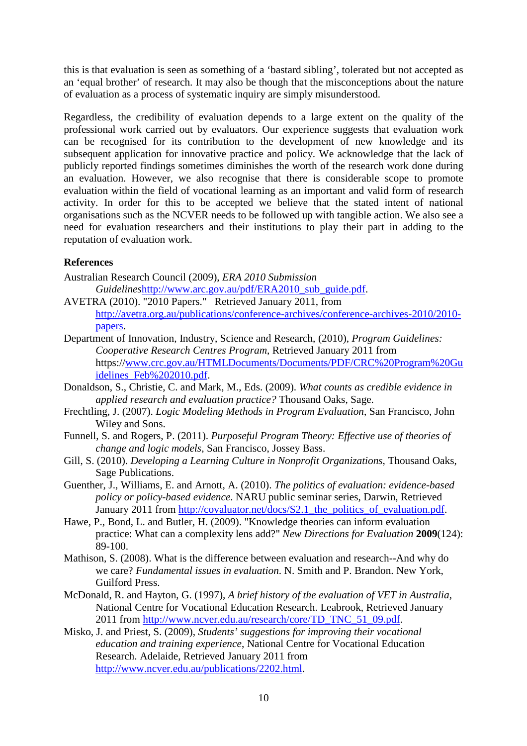this is that evaluation is seen as something of a 'bastard sibling', tolerated but not accepted as an 'equal brother' of research. It may also be though that the misconceptions about the nature of evaluation as a process of systematic inquiry are simply misunderstood.

Regardless, the credibility of evaluation depends to a large extent on the quality of the professional work carried out by evaluators. Our experience suggests that evaluation work can be recognised for its contribution to the development of new knowledge and its subsequent application for innovative practice and policy. We acknowledge that the lack of publicly reported findings sometimes diminishes the worth of the research work done during an evaluation. However, we also recognise that there is considerable scope to promote evaluation within the field of vocational learning as an important and valid form of research activity. In order for this to be accepted we believe that the stated intent of national organisations such as the NCVER needs to be followed up with tangible action. We also see a need for evaluation researchers and their institutions to play their part in adding to the reputation of evaluation work.

# **References**

- Australian Research Council (2009), *ERA 2010 Submission Guidelines*http://www.arc.gov.au/pdf/ERA2010\_sub\_guide.pdf.
- AVETRA (2010). "2010 Papers." Retrieved January 2011, from http://avetra.org.au/publications/conference-archives/conference-archives-2010/2010 papers.
- Department of Innovation, Industry, Science and Research, (2010), *Program Guidelines: Cooperative Research Centres Program*, Retrieved January 2011 from https://www.crc.gov.au/HTMLDocuments/Documents/PDF/CRC%20Program%20Gu idelines\_Feb%202010.pdf.
- Donaldson, S., Christie, C. and Mark, M., Eds. (2009). *What counts as credible evidence in applied research and evaluation practice?* Thousand Oaks, Sage.
- Frechtling, J. (2007). *Logic Modeling Methods in Program Evaluation*, San Francisco, John Wiley and Sons.
- Funnell, S. and Rogers, P. (2011). *Purposeful Program Theory: Effective use of theories of change and logic models*, San Francisco, Jossey Bass.
- Gill, S. (2010). *Developing a Learning Culture in Nonprofit Organizations*, Thousand Oaks, Sage Publications.
- Guenther, J., Williams, E. and Arnott, A. (2010). *The politics of evaluation: evidence-based policy or policy-based evidence*. NARU public seminar series, Darwin, Retrieved January 2011 from http://covaluator.net/docs/S2.1 the politics of evaluation.pdf.
- Hawe, P., Bond, L. and Butler, H. (2009). "Knowledge theories can inform evaluation practice: What can a complexity lens add?" *New Directions for Evaluation* **2009**(124): 89-100.
- Mathison, S. (2008). What is the difference between evaluation and research--And why do we care? *Fundamental issues in evaluation*. N. Smith and P. Brandon. New York, Guilford Press.
- McDonald, R. and Hayton, G. (1997), *A brief history of the evaluation of VET in Australia*, National Centre for Vocational Education Research. Leabrook, Retrieved January 2011 from http://www.ncver.edu.au/research/core/TD\_TNC\_51\_09.pdf.
- Misko, J. and Priest, S. (2009), *Students' suggestions for improving their vocational education and training experience*, National Centre for Vocational Education Research. Adelaide, Retrieved January 2011 from http://www.ncver.edu.au/publications/2202.html.